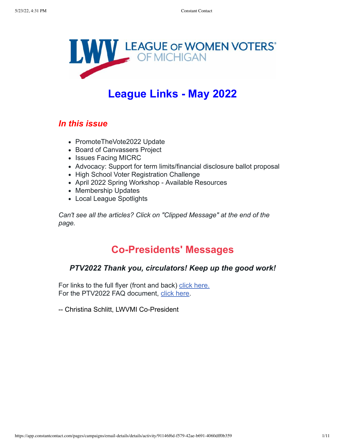

# **League Links - May 2022**

## *In this issue*

- PromoteTheVote2022 Update
- Board of Canvassers Project
- Issues Facing MICRC
- Advocacy: Support for term limits/financial disclosure ballot proposal
- High School Voter Registration Challenge
- April 2022 Spring Workshop Available Resources
- Membership Updates
- Local League Spotlights

*Can't see all the articles? Click on "Clipped Message" at the end of the page.*

## **Co-Presidents' Messages**

### *PTV2022 Thank you, circulators! Keep up the good work!*

For links to the full flyer (front and back) [click here.](https://files.constantcontact.com/e57abb7b101/6563562f-2055-44a2-9bb0-25497e5b7848.pdf) For the PTV2022 FAQ document, [click here](https://files.constantcontact.com/e57abb7b101/57d25718-816c-40e2-8577-bfbec6089328.pdf).

-- Christina Schlitt, LWVMI Co-President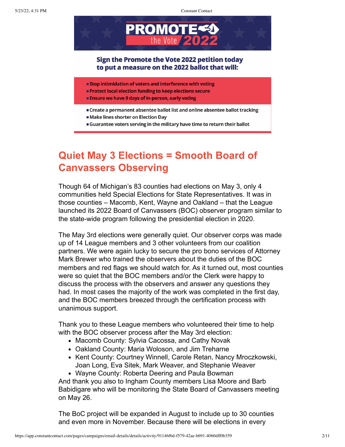

#### Sign the Promote the Vote 2022 petition today to put a measure on the 2022 ballot that will:

- Stop intimidation of voters and interference with voting
- **Protect local election funding to keep elections secure**
- **Ensure we have 9 days of in-person, early voting**
- Create a permanent absentee ballot list and online absentee ballot tracking **Make lines shorter on Election Day**
- **Guarantee voters serving in the military have time to return their ballot**

# **Quiet May 3 Elections = Smooth Board of Canvassers Observing**

Though 64 of Michigan's 83 counties had elections on May 3, only 4 communities held Special Elections for State Representatives. It was in those counties – Macomb, Kent, Wayne and Oakland – that the League launched its 2022 Board of Canvassers (BOC) observer program similar to the state-wide program following the presidential election in 2020.

The May 3rd elections were generally quiet. Our observer corps was made up of 14 League members and 3 other volunteers from our coalition partners. We were again lucky to secure the pro bono services of Attorney Mark Brewer who trained the observers about the duties of the BOC members and red flags we should watch for. As it turned out, most counties were so quiet that the BOC members and/or the Clerk were happy to discuss the process with the observers and answer any questions they had. In most cases the majority of the work was completed in the first day, and the BOC members breezed through the certification process with unanimous support.

Thank you to these League members who volunteered their time to help with the BOC observer process after the May 3rd election:

- Macomb County: Sylvia Cacossa, and Cathy Novak
- Oakland County: Maria Woloson, and Jim Treharne
- Kent County: Courtney Winnell, Carole Retan, Nancy Mroczkowski, Joan Long, Eva Sitek, Mark Weaver, and Stephanie Weaver
- Wayne County: Roberta Deering and Paula Bowman

And thank you also to Ingham County members Lisa Moore and Barb Babidigare who will be monitoring the State Board of Canvassers meeting on May 26.

The BoC project will be expanded in August to include up to 30 counties and even more in November. Because there will be elections in every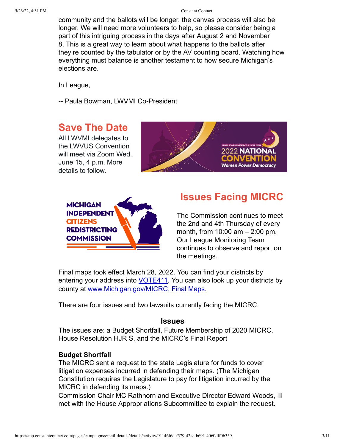community and the ballots will be longer, the canvas process will also be longer. We will need more volunteers to help, so please consider being a part of this intriguing process in the days after August 2 and November 8. This is a great way to learn about what happens to the ballots after they're counted by the tabulator or by the AV counting board. Watching how everything must balance is another testament to how secure Michigan's elections are.

In League,

-- Paula Bowman, LWVMI Co-President

## **Save The Date**

All LWVMI delegates to the LWVUS Convention will meet via Zoom Wed., June 15, 4 p.m. More details to follow.





## **Issues Facing MICRC**

The Commission continues to meet the 2nd and 4th Thursday of every month, from 10:00 am – 2:00 pm. Our League Monitoring Team continues to observe and report on the meetings.

Final maps took effect March 28, 2022. You can find your districts by entering your address into [VOTE411.](https://www.vote411.org/) You can also look up your districts by county at [www.Michigan.gov/MICRC, Final Maps.](https://www.michigan.gov/micrc/mapping-process/final-maps)

There are four issues and two lawsuits currently facing the MICRC.

#### **Issues**

The issues are: a Budget Shortfall, Future Membership of 2020 MICRC, House Resolution HJR S, and the MICRC's Final Report

#### **Budget Shortfall**

The MICRC sent a request to the state Legislature for funds to cover litigation expenses incurred in defending their maps. (The Michigan Constitution requires the Legislature to pay for litigation incurred by the MICRC in defending its maps.)

Commission Chair MC Rathhorn and Executive Director Edward Woods, III met with the House Appropriations Subcommittee to explain the request.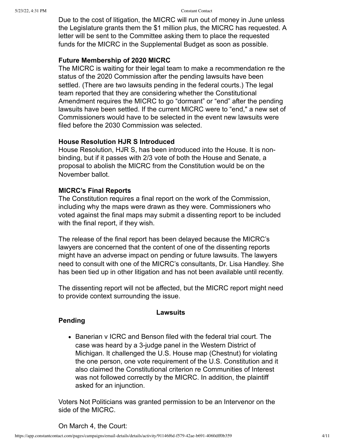Due to the cost of litigation, the MICRC will run out of money in June unless the Legislature grants them the \$1 million plus, the MICRC has requested. A letter will be sent to the Committee asking them to place the requested funds for the MICRC in the Supplemental Budget as soon as possible.

#### **Future Membership of 2020 MICRC**

The MICRC is waiting for their legal team to make a recommendation re the status of the 2020 Commission after the pending lawsuits have been settled. (There are two lawsuits pending in the federal courts.) The legal team reported that they are considering whether the Constitutional Amendment requires the MICRC to go "dormant" or "end" after the pending lawsuits have been settled. If the current MICRC were to "end," a new set of Commissioners would have to be selected in the event new lawsuits were filed before the 2030 Commission was selected.

#### **House Resolution HJR S Introduced**

House Resolution, HJR S, has been introduced into the House. It is nonbinding, but if it passes with 2/3 vote of both the House and Senate, a proposal to abolish the MICRC from the Constitution would be on the November ballot.

#### **MICRC's Final Reports**

The Constitution requires a final report on the work of the Commission, including why the maps were drawn as they were. Commissioners who voted against the final maps may submit a dissenting report to be included with the final report, if they wish.

The release of the final report has been delayed because the MICRC's lawyers are concerned that the content of one of the dissenting reports might have an adverse impact on pending or future lawsuits. The lawyers need to consult with one of the MICRC's consultants, Dr. Lisa Handley. She has been tied up in other litigation and has not been available until recently.

The dissenting report will not be affected, but the MICRC report might need to provide context surrounding the issue.

#### **Lawsuits**

#### **Pending**

• Banerian y ICRC and Benson filed with the federal trial court. The case was heard by a 3-judge panel in the Western District of Michigan. It challenged the U.S. House map (Chestnut) for violating the one person, one vote requirement of the U.S. Constitution and it also claimed the Constitutional criterion re Communities of Interest was not followed correctly by the MICRC. In addition, the plaintiff asked for an injunction.

Voters Not Politicians was granted permission to be an Intervenor on the side of the MICRC.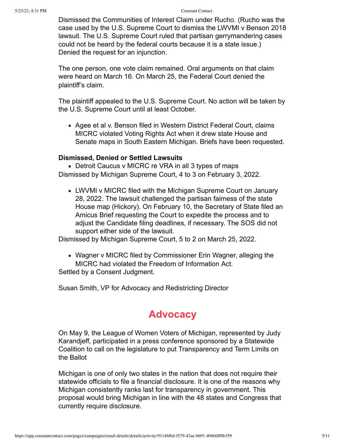Dismissed the Communities of Interest Claim under Rucho. (Rucho was the case used by the U.S. Supreme Court to dismiss the LWVMI v Benson 2018 lawsuit. The U.S. Supreme Court ruled that partisan gerrymandering cases could not be heard by the federal courts because it is a state issue.) Denied the request for an injunction.

The one person, one vote claim remained. Oral arguments on that claim were heard on March 16. On March 25, the Federal Court denied the plaintiff's claim.

The plaintiff appealed to the U.S. Supreme Court. No action will be taken by the U.S. Supreme Court until at least October.

• Agee et al v. Benson filed in Western District Federal Court, claims MICRC violated Voting Rights Act when it drew state House and Senate maps in South Eastern Michigan. Briefs have been requested.

#### **Dismissed, Denied or Settled Lawsuits**

• Detroit Caucus v MICRC re VRA in all 3 types of maps Dismissed by Michigan Supreme Court, 4 to 3 on February 3, 2022.

LWVMI v MICRC filed with the Michigan Supreme Court on January 28, 2022. The lawsuit challenged the partisan fairness of the state House map (Hickory). On February 10, the Secretary of State filed an Amicus Brief requesting the Court to expedite the process and to adjust the Candidate filing deadlines, if necessary. The SOS did not support either side of the lawsuit.

Dismissed by Michigan Supreme Court, 5 to 2 on March 25, 2022.

Wagner v MICRC filed by Commissioner Erin Wagner, alleging the MICRC had violated the Freedom of Information Act. Settled by a Consent Judgment.

Susan Smith, VP for Advocacy and Redistricting Director

## **Advocacy**

On May 9, the League of Women Voters of Michigan, represented by Judy Karandjeff, participated in a press conference sponsored by a Statewide Coalition to call on the legislature to put Transparency and Term Limits on the Ballot

Michigan is one of only two states in the nation that does not require their statewide officials to file a financial disclosure. It is one of the reasons why Michigan consistently ranks last for transparency in government. This proposal would bring Michigan in line with the 48 states and Congress that currently require disclosure.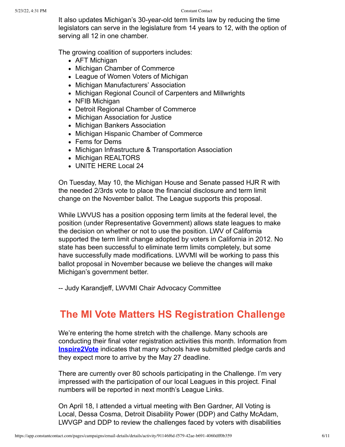It also updates Michigan's 30-year-old term limits law by reducing the time legislators can serve in the legislature from 14 years to 12, with the option of serving all 12 in one chamber.

The growing coalition of supporters includes:

- AFT Michigan
- Michigan Chamber of Commerce
- League of Women Voters of Michigan
- Michigan Manufacturers' Association
- Michigan Regional Council of Carpenters and Millwrights
- NFIB Michigan
- Detroit Regional Chamber of Commerce
- Michigan Association for Justice
- Michigan Bankers Association
- Michigan Hispanic Chamber of Commerce
- Fems for Dems
- Michigan Infrastructure & Transportation Association
- Michigan REALTORS
- UNITE HERE Local 24

On Tuesday, May 10, the Michigan House and Senate passed HJR R with the needed 2/3rds vote to place the financial disclosure and term limit change on the November ballot. The League supports this proposal.

While LWVUS has a position opposing term limits at the federal level, the position (under Representative Government) allows state leagues to make the decision on whether or not to use the position. LWV of California supported the term limit change adopted by voters in California in 2012. No state has been successful to eliminate term limits completely, but some have successfully made modifications. LWVMI will be working to pass this ballot proposal in November because we believe the changes will make Michigan's government better.

-- Judy Karandjeff, LWVMI Chair Advocacy Committee

# **The MI Vote Matters HS Registration Challenge**

We're entering the home stretch with the challenge. Many schools are conducting their final voter registration activities this month. Information from **[Inspire2Vote](https://www.inspire2vote.org/)** indicates that many schools have submitted pledge cards and they expect more to arrive by the May 27 deadline.

There are currently over 80 schools participating in the Challenge. I'm very impressed with the participation of our local Leagues in this project. Final numbers will be reported in next month's League Links.

On April 18, I attended a virtual meeting with Ben Gardner, All Voting is Local, Dessa Cosma, Detroit Disability Power (DDP) and Cathy McAdam, LWVGP and DDP to review the challenges faced by voters with disabilities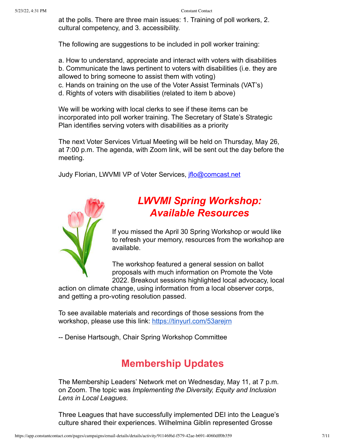at the polls. There are three main issues: 1. Training of poll workers, 2. cultural competency, and 3. accessibility.

The following are suggestions to be included in poll worker training:

a. How to understand, appreciate and interact with voters with disabilities b. Communicate the laws pertinent to voters with disabilities (i.e. they are allowed to bring someone to assist them with voting)

- c. Hands on training on the use of the Voter Assist Terminals (VAT's)
- d. Rights of voters with disabilities (related to item b above)

We will be working with local clerks to see if these items can be incorporated into poll worker training. The Secretary of State's Strategic Plan identifies serving voters with disabilities as a priority

The next Voter Services Virtual Meeting will be held on Thursday, May 26, at 7:00 p.m. The agenda, with Zoom link, will be sent out the day before the meeting.

Judy Florian, LWVMI VP of Voter Services, [jflo@comcast.net](mailto:jflo@comcast.net)



# *LWVMI Spring Workshop: Available Resources*

If you missed the April 30 Spring Workshop or would like to refresh your memory, resources from the workshop are available.

The workshop featured a general session on ballot proposals with much information on Promote the Vote 2022. Breakout sessions highlighted local advocacy, local

action on climate change, using information from a local observer corps, and getting a pro-voting resolution passed.

To see available materials and recordings of those sessions from the workshop, please use this link: <https://tinyurl.com/53arejrn>

-- Denise Hartsough, Chair Spring Workshop Committee

# **Membership Updates**

The Membership Leaders' Network met on Wednesday, May 11, at 7 p.m. on Zoom. The topic was *Implementing the Diversity, Equity and Inclusion Lens in Local Leagues.*

Three Leagues that have successfully implemented DEI into the League's culture shared their experiences. Wilhelmina Giblin represented Grosse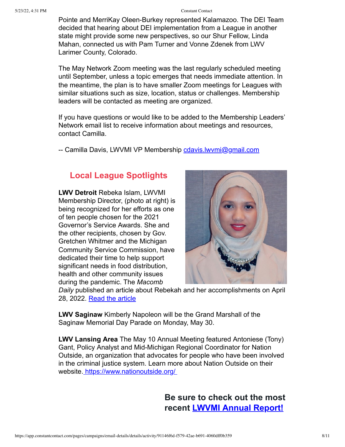Pointe and MerriKay Oleen-Burkey represented Kalamazoo. The DEI Team decided that hearing about DEI implementation from a League in another state might provide some new perspectives, so our Shur Fellow, Linda Mahan, connected us with Pam Turner and Vonne Zdenek from LWV Larimer County, Colorado.

The May Network Zoom meeting was the last regularly scheduled meeting until September, unless a topic emerges that needs immediate attention. In the meantime, the plan is to have smaller Zoom meetings for Leagues with similar situations such as size, location, status or challenges. Membership leaders will be contacted as meeting are organized.

If you have questions or would like to be added to the Membership Leaders' Network email list to receive information about meetings and resources, contact Camilla.

-- Camilla Davis, LWVMI VP Membership [cdavis.lwvmi@gmail.com](mailto:cdavis.lwvmi@gmail.com)

### **Local League Spotlights**

**LWV Detroit** Rebeka Islam, LWVMI Membership Director, (photo at right) is being recognized for her efforts as one of ten people chosen for the 2021 Governor's Service Awards. She and the other recipients, chosen by Gov. Gretchen Whitmer and the Michigan Community Service Commission, have dedicated their time to help support significant needs in food distribution, health and other community issues during the pandemic. The *Macomb*



*Daily* published an article about Rebekah and her accomplishments on April 28, 2022. [Read the article](https://www.macombdaily.com/2022/04/28/sterling-heights-woman-to-receive-governors-service-award/)

**LWV Saginaw** Kimberly Napoleon will be the Grand Marshall of the Saginaw Memorial Day Parade on Monday, May 30.

**LWV Lansing Area** The May 10 Annual Meeting featured Antoniese (Tony) Gant, Policy Analyst and Mid-Michigan Regional Coordinator for Nation Outside, an organization that advocates for people who have been involved in the criminal justice system. Learn more about Nation Outside on their website.<https://www.nationoutside.org/>

> **Be sure to check out the most recent [LWVMI Annual Report!](https://lwvmi.org/wp-content/uploads/2021/09/Annual-Rept-LWVMI-2021.pdf)**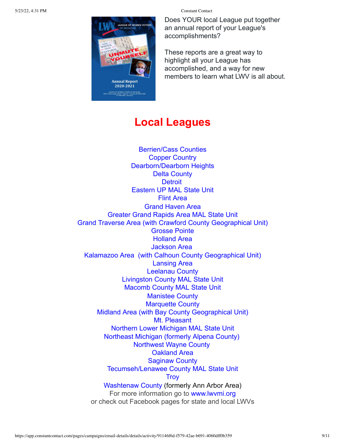Does YOUR local League put together an annual report of your League's accomplishments?

These reports are a great way to highlight all your League has accomplished, and a way for new members to learn what I WV is all about.

## **Local Leagues**

**LEAGUE OF WOMEN VOT** 

**Annual Repor** 2020-2021 -<br>Sint Joseph Street " Suite 3G \* Lan in CHIGAN<br>Sint Joseph Street " Suite 3G \* Lansing, MI 489<br>" S17-484-5353 \* laami oo

[Berrien/Cass Counties](http://www.lwvbcc.org/) [Copper Country](http://www.lwvccmi.org/) [Dearborn/Dearborn Heights](http://www.lwvddh.org/) [Delta County](https://lwvdeltacounty.org/?fbclid=IwAR1NsSlUywiOtBjVat-u2ZBxqptdq_a9vOCUD7ork0PNjNa3r8xbO4YmSCU) **[Detroit](http://lwvdetroit.org/)** [Eastern UP MAL](https://www.facebook.com/lwveup) State Unit [Flint Area](http://www.lwvflintarea.org/) [Grand Haven Area](https://www.facebook.com/League-of-Women-Voters-of-the-Grand-Haven-Area-1690078104545894/) [Greater Grand Rapids Area](https://www.facebook.com/grlwv/) MAL State Unit [Grand Traverse Area \(with Crawford County Geographical Unit\)](http://www.lwvgta.org/) [Grosse Pointe](http://www.lwvgrossepointe.org/) [Holland Area](http://www.lwvholland.org/) [Jackson Area](https://www.lwvja.org/) [Kalamazoo Area](http://www.lwvka.org/) (with [Calhoun County](https://www.facebook.com/Calhoun-County-Unit-of-the-League-of-Women-Voters-of-the-Kalamazoo-Area-100103985043338) Geographical Unit) [Lansing Area](http://lansing.mi.lwvnet.org/) [Leelanau County](http://www.lwvleelanau.org/) [Livingston County MAL State Unit](https://lwvbrightonhowellarea.org/content.aspx?page_id=0&club_id=920194) [Macomb County MAL State Unit](http://lwvmacombcounty.org/) [Manistee County](http://www.lwvmanisteecounty.org/) [Marquette County](https://lwvmqt.org/) [Midland Area](http://www.lwv-midland.org/) (with Bay County Geographical Unit) [Mt. Pleasant](http://lwvmpmi.org/) [Northern Lower Michigan MAL State Unit](https://www.lwvnlm.org/) [Northeast Michigan](https://lwvnemi.org/) (formerly Alpena County) [Northwest Wayne County](http://www.lwvnww.org/) [Oakland Area](http://www.lwvoa.org/) [Saginaw County](https://www.facebook.com/League-of-Women-Voters-Saginaw-County-113935740798118) [Tecumseh/Lenawee County](https://my.lwv.org/michigan/ann-arbor-area/tecumseh-league) MAL State Unit **[Troy](http://www.lwvtroyarea.org/)** [Washtenaw County](https://my.lwv.org/michigan/washtenaw-county) (formerly Ann Arbor Area) For more information go to [www.lwvmi.org](http://www.lwvmi.org/) or check out Facebook pages for state and local LWVs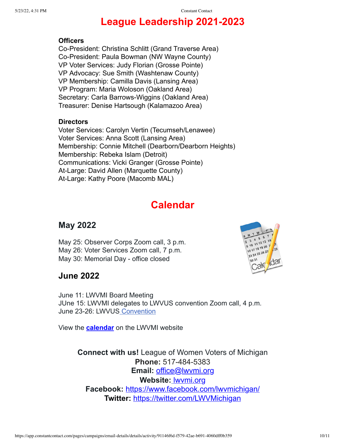# **League Leadership 2021-2023**

### **Officers**

Co-President: Christina Schlitt (Grand Traverse Area) Co-President: Paula Bowman (NW Wayne County) VP Voter Services: Judy Florian (Grosse Pointe) VP Advocacy: Sue Smith (Washtenaw County) VP Membership: Camilla Davis (Lansing Area) VP Program: Maria Woloson (Oakland Area) Secretary: Carla Barrows-Wiggins (Oakland Area) Treasurer: Denise Hartsough (Kalamazoo Area)

### **Directors**

Voter Services: Carolyn Vertin (Tecumseh/Lenawee) Voter Services: Anna Scott (Lansing Area) Membership: Connie Mitchell (Dearborn/Dearborn Heights) Membership: Rebeka Islam (Detroit) Communications: Vicki Granger (Grosse Pointe) At-Large: David Allen (Marquette County) At-Large: Kathy Poore (Macomb MAL)

# **Calendar**

## **May 2022**

May 25: Observer Corps Zoom call, 3 p.m. May 26: Voter Services Zoom call, 7 p.m. May 30: Memorial Day - office closed



## **June 2022**

June 11: LWVMI Board Meeting JUne 15: LWVMI delegates to LWVUS convention Zoom call, 4 p.m. June 23-26: LWVUS [Convention](https://convention.lwv.org/)

View the **[calendar](https://lwvmi.org/miscellaneous-league-resources/)** on the LWVMI website

**Connect with us!** League of Women Voters of Michigan **Phone:** 517-484-5383 **Email:** [office@lwvmi.org](mailto:office@lwvmi.org) **Website:** [lwvmi.org](http://lwvmi.org/) **Facebook:** <https://www.facebook.com/lwvmichigan/> **Twitter:** <https://twitter.com/LWVMichigan>